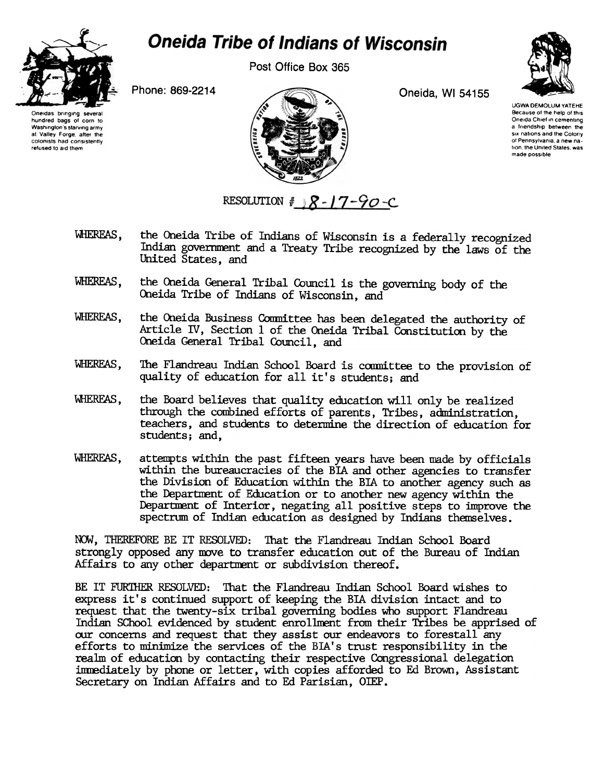

## **Oneida Tribe of Indians of Wisconsin**

Post Office Box 365



UGWA DEMOLUM YATEHE Because of the help of this Oneida Chief in cementing a Irlendshlp between the six nations and the Colony of Pennsylvania, a new nation, the United States, was made possible

Phone: 869-2214 Oneida, WI 54155





WHEREAS, the Oneida Tribe of Indians of Wisconsin is a federally recognized Indian govemnent and a Treaty Tribe recognized by the laws of the United States, and

RESOLUTION  $\#$   $\sqrt{8}$ -17-90-C

- WHEREAS, the Oneida General Tribal Council is the governing body of the Oneida Tribe of Indians of Wisconsin, and
- WHEREAS, the Oneida Business Committee has been delegated the authority of Article IV, Section 1 of the Oneida Tribal Constitution by the Oneida General Tribal Council, and
- WHEREAS, The Flandreau Indian School Board is committee to the provision of quality of education for all it's students; and
- WHEREAS, the Board believes that quality education will only be realized through the combined efforts of parents, Tribes, administration, teachers, and students to determine the direction of education for students; and,
- WHEREAS, attempts within the past fifteen years have been made by officials within the bureaucracies of the BIA and other agencies to transfer the Division of Education within the BIA to another agency such as the Departnent of Education or to another new agency within the Department of Interior, negating all positive steps to improve the spectrum of Indian education as designed by Indians themselves.

NOW, THEREFORE BE IT RESOLVED: That the Flandreau Indian School Board strongly opposed any move to transfer education out of the Bureau of Indian Affairs to any other department or subdivision thereof.

BE IT FUR1HER RESOLVED: That the Flandreau Indian School Board wishes to express it's continued support of keeping the BIA division intact and to request that the twenty-six tribal governing bodies who support Flandreau Indian SChool evidenced by student enrollment from their Tribes be apprised of oor concerns and request that they assist our endeavors to forestall any efforts to minimize the services of the BIA' s trust responsibility in the realm of education by contacting their respective Congressional delegation immediately by phone or letter, with copies afforded to Ed Brown, Assistant Secretary on Indian Affairs and to Ed Parisian, OIEP.